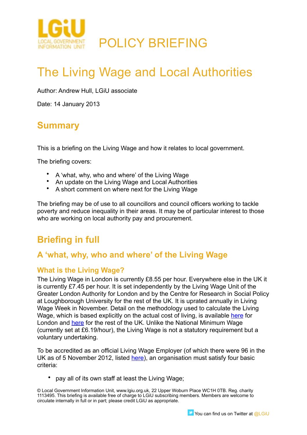

# The Living Wage and Local Authorities

Author: Andrew Hull, LGiU associate

Date: 14 January 2013

# **Summary**

This is a briefing on the Living Wage and how it relates to local government.

The briefing covers:

- A 'what, why, who and where' of the Living Wage
- An update on the Living Wage and Local Authorities
- A short comment on where next for the Living Wage

The briefing may be of use to all councillors and council officers working to tackle poverty and reduce inequality in their areas. It may be of particular interest to those who are working on local authority pay and procurement.

## **Briefing in full**

## **A 'what, why, who and where' of the Living Wage**

### **What is the Living Wage?**

The Living Wage in London is currently £8.55 per hour. Everywhere else in the UK it is currently £7.45 per hour. It is set independently by the Living Wage Unit of the Greater London Authority for London and by the Centre for Research in Social Policy at Loughborough University for the rest of the UK. It is uprated annually in Living Wage Week in November. Detail on the methodology used to calculate the Living Wage, which is based explicitly on the actual cost of living, is available [here](http://www.london.gov.uk/sites/default/files/living-wage-2012.pdf) for London and [here](http://www.crsp.ac.uk/downloads/Living%20Wage/Uprating%20the%20out%20of%20London%20Living%20Wage%20in%202012.pdf) for the rest of the UK. Unlike the National Minimum Wage (currently set at £6.19/hour), the Living Wage is not a statutory requirement but a voluntary undertaking.

To be accredited as an official Living Wage Employer (of which there were 96 in the UK as of 5 November 2012, listed [here\)](http://www.livingwage.org.uk/sites/default/files/Accredited%20Employers%209th%20Nov.pdf#overlay-context=employers), an organisation must satisfy four basic criteria:

• pay all of its own staff at least the Living Wage;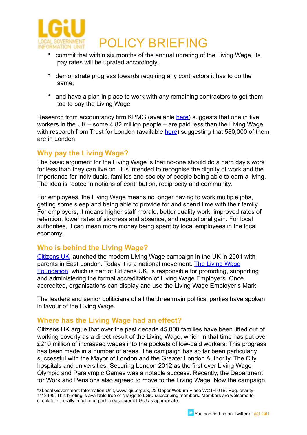

- commit that within six months of the annual uprating of the Living Wage, its pay rates will be uprated accordingly;
- demonstrate progress towards requiring any contractors it has to do the same;
- and have a plan in place to work with any remaining contractors to get them too to pay the Living Wage.

Research from accountancy firm KPMG (available [here](http://www.kpmg.com/UK/en/IssuesAndInsights/ArticlesPublications/Documents/PDF/Who%20We%20Are/Living_Wage_Research_October_2012.pdf)) suggests that one in five workers in the UK – some 4.82 million people – are paid less than the Living Wage, with research from Trust for London (available [here](http://www.trustforlondon.org.uk/Living%20wage%20costs%20and%20benefits%20FULL.pdf)) suggesting that 580,000 of them are in London.

### **Why pay the Living Wage?**

The basic argument for the Living Wage is that no-one should do a hard day's work for less than they can live on. It is intended to recognise the dignity of work and the importance for individuals, families and society of people being able to earn a living. The idea is rooted in notions of contribution, reciprocity and community.

For employees, the Living Wage means no longer having to work multiple jobs, getting some sleep and being able to provide for and spend time with their family. For employers, it means higher staff morale, better quality work, improved rates of retention, lower rates of sickness and absence, and reputational gain. For local authorities, it can mean more money being spent by local employees in the local economy.

### **Who is behind the Living Wage?**

[Citizens UK](http://www.citizensuk.org/) launched the modern Living Wage campaign in the UK in 2001 with parents in East London. Today it is a national movement. [The Living Wage](http://www.livingwage.org.uk/home)  [Foundation](http://www.livingwage.org.uk/home), which is part of Citizens UK, is responsible for promoting, supporting and administering the formal accreditation of Living Wage Employers. Once accredited, organisations can display and use the Living Wage Employer's Mark.

The leaders and senior politicians of all the three main political parties have spoken in favour of the Living Wage.

### **Where has the Living Wage had an effect?**

Citizens UK argue that over the past decade 45,000 families have been lifted out of working poverty as a direct result of the Living Wage, which in that time has put over £210 million of increased wages into the pockets of low-paid workers. This progress has been made in a number of areas. The campaign has so far been particularly successful with the Mayor of London and the Greater London Authority, The City, hospitals and universities. Securing London 2012 as the first ever Living Wage Olympic and Paralympic Games was a notable success. Recently, the Department for Work and Pensions also agreed to move to the Living Wage. Now the campaign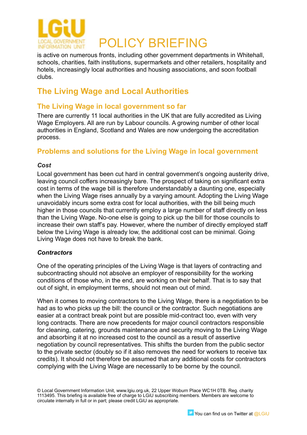

is active on numerous fronts, including other government departments in Whitehall, schools, charities, faith institutions, supermarkets and other retailers, hospitality and hotels, increasingly local authorities and housing associations, and soon football clubs.

## **The Living Wage and Local Authorities**

## **The Living Wage in local government so far**

There are currently 11 local authorities in the UK that are fully accredited as Living Wage Employers. All are run by Labour councils. A growing number of other local authorities in England, Scotland and Wales are now undergoing the accreditation process.

### **Problems and solutions for the Living Wage in local government**

#### *Cost*

Local government has been cut hard in central government's ongoing austerity drive, leaving council coffers increasingly bare. The prospect of taking on significant extra cost in terms of the wage bill is therefore understandably a daunting one, especially when the Living Wage rises annually by a varying amount. Adopting the Living Wage unavoidably incurs some extra cost for local authorities, with the bill being much higher in those councils that currently employ a large number of staff directly on less than the Living Wage. No-one else is going to pick up the bill for those councils to increase their own staff's pay. However, where the number of directly employed staff below the Living Wage is already low, the additional cost can be minimal. Going Living Wage does not have to break the bank.

#### *Contractors*

One of the operating principles of the Living Wage is that layers of contracting and subcontracting should not absolve an employer of responsibility for the working conditions of those who, in the end, are working on their behalf. That is to say that out of sight, in employment terms, should not mean out of mind.

When it comes to moving contractors to the Living Wage, there is a negotiation to be had as to who picks up the bill: the council or the contractor. Such negotiations are easier at a contract break point but are possible mid-contract too, even with very long contracts. There are now precedents for major council contractors responsible for cleaning, catering, grounds maintenance and security moving to the Living Wage and absorbing it at no increased cost to the council as a result of assertive negotiation by council representatives. This shifts the burden from the public sector to the private sector (doubly so if it also removes the need for workers to receive tax credits). It should not therefore be assumed that any additional costs for contractors complying with the Living Wage are necessarily to be borne by the council.

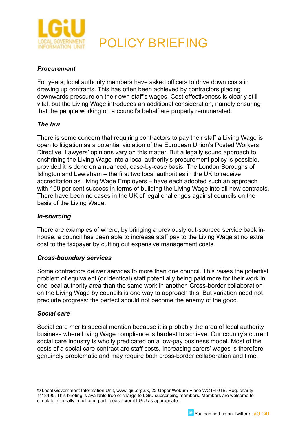

#### *Procurement*

For years, local authority members have asked officers to drive down costs in drawing up contracts. This has often been achieved by contractors placing downwards pressure on their own staff's wages. Cost effectiveness is clearly still vital, but the Living Wage introduces an additional consideration, namely ensuring that the people working on a council's behalf are properly remunerated.

#### *The law*

There is some concern that requiring contractors to pay their staff a Living Wage is open to litigation as a potential violation of the European Union's Posted Workers Directive. Lawyers' opinions vary on this matter. But a legally sound approach to enshrining the Living Wage into a local authority's procurement policy is possible, provided it is done on a nuanced, case-by-case basis. The London Boroughs of Islington and Lewisham – the first two local authorities in the UK to receive accreditation as Living Wage Employers – have each adopted such an approach with 100 per cent success in terms of building the Living Wage into all new contracts. There have been no cases in the UK of legal challenges against councils on the basis of the Living Wage.

#### *In-sourcing*

There are examples of where, by bringing a previously out-sourced service back inhouse, a council has been able to increase staff pay to the Living Wage at no extra cost to the taxpayer by cutting out expensive management costs.

#### *Cross-boundary services*

Some contractors deliver services to more than one council. This raises the potential problem of equivalent (or identical) staff potentially being paid more for their work in one local authority area than the same work in another. Cross-border collaboration on the Living Wage by councils is one way to approach this. But variation need not preclude progress: the perfect should not become the enemy of the good.

#### *Social care*

Social care merits special mention because it is probably the area of local authority business where Living Wage compliance is hardest to achieve. Our country's current social care industry is wholly predicated on a low-pay business model. Most of the costs of a social care contract are staff costs. Increasing carers' wages is therefore genuinely problematic and may require both cross-border collaboration and time.

<sup>©</sup> Local Government Information Unit, www.lgiu.org.uk, 22 Upper Woburn Place WC1H 0TB. Reg. charity 1113495. This briefing is available free of charge to LGiU subscribing members. Members are welcome to circulate internally in full or in part; please credit LGiU as appropriate.